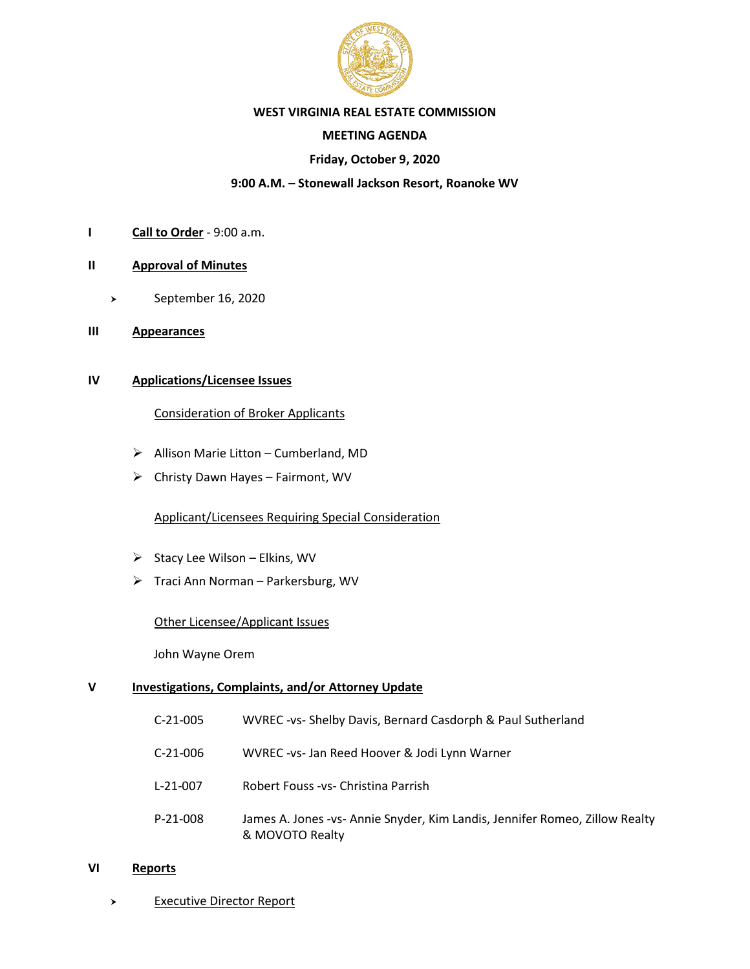

### **WEST VIRGINIA REAL ESTATE COMMISSION**

# **MEETING AGENDA**

# **Friday, October 9, 2020**

## **9:00 A.M. – Stonewall Jackson Resort, Roanoke WV**

- **I Call to Order** 9:00 a.m.
- **II Approval of Minutes**
	- September 16, 2020
- **III Appearances**

# **IV Applications/Licensee Issues**

### Consideration of Broker Applicants

- ➢ Allison Marie Litton Cumberland, MD
- ➢ Christy Dawn Hayes Fairmont, WV

# Applicant/Licensees Requiring Special Consideration

- $\triangleright$  Stacy Lee Wilson Elkins, WV
- ➢ Traci Ann Norman Parkersburg, WV

### Other Licensee/Applicant Issues

John Wayne Orem

#### **V Investigations, Complaints, and/or Attorney Update**

- C-21-005 WVREC -vs- Shelby Davis, Bernard Casdorph & Paul Sutherland
- C-21-006 WVREC -vs- Jan Reed Hoover & Jodi Lynn Warner
- L-21-007 Robert Fouss -vs- Christina Parrish
- P-21-008 James A. Jones -vs- Annie Snyder, Kim Landis, Jennifer Romeo, Zillow Realty & MOVOTO Realty

#### **VI Reports**

> Executive Director Report